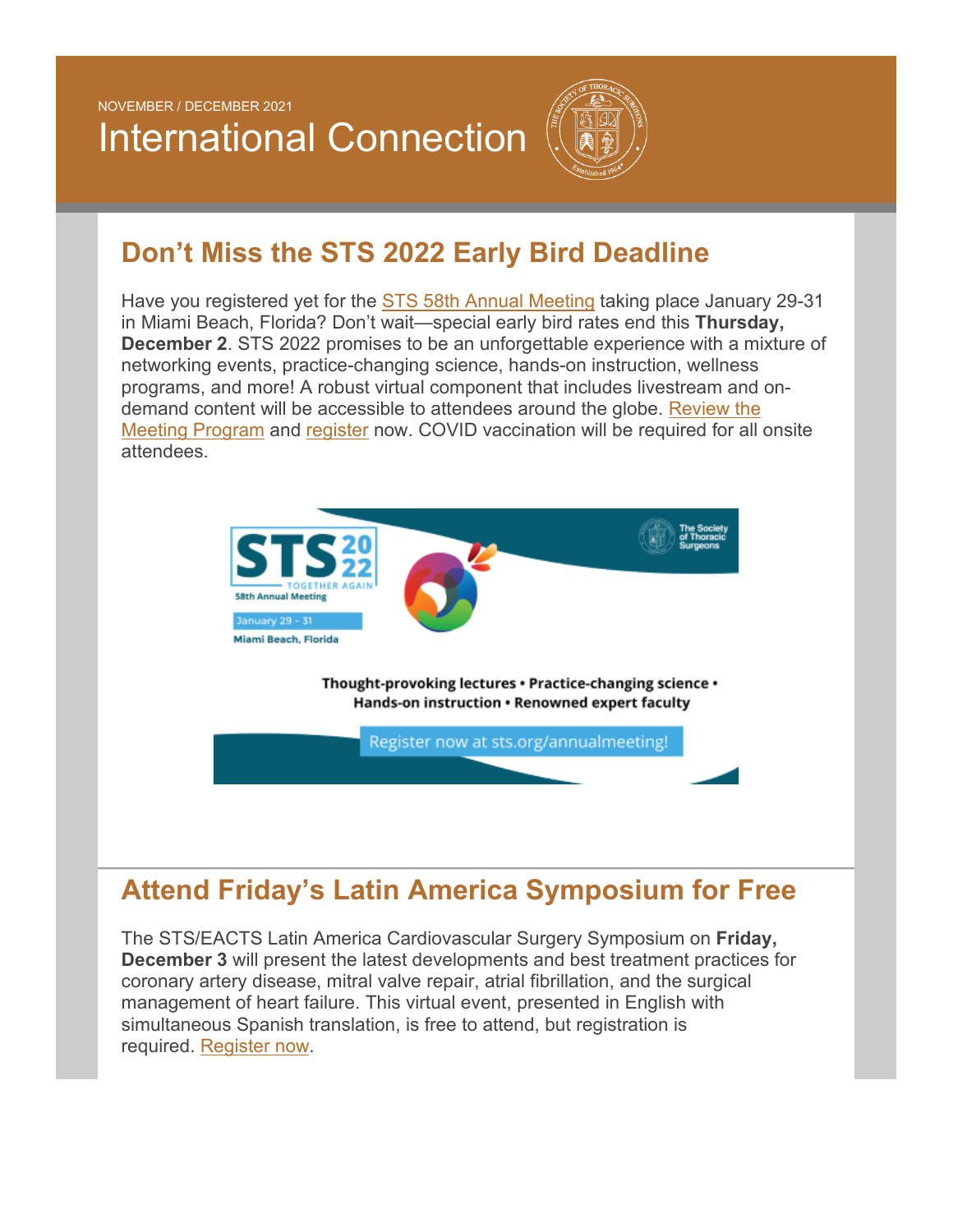NOVEMBER / DECEMBER 2021

# International Connection



### **Don't Miss the STS 2022 Early Bird Deadline**

Have you registered yet for the [STS 58th Annual Meeting](https://www.sts.org/meetings/calendar-of-events/sts-58th-annual-meeting) taking place January 29-31 in Miami Beach, Florida? Don't wait—special early bird rates end this **Thursday, December 2**. STS 2022 promises to be an unforgettable experience with a mixture of networking events, practice-changing science, hands-on instruction, wellness programs, and more! A robust virtual component that includes livestream and ondemand content will be accessible to attendees around the globe. [Review the](https://www.eventscribe.net/2022/STS/agenda.asp?startdate=1/29/2022&enddate=1/29/2022&BCFO=G|M&pfp=LIVEStream&fa=&fb=&fc=&fd=)  [Meeting Program](https://www.eventscribe.net/2022/STS/agenda.asp?startdate=1/29/2022&enddate=1/29/2022&BCFO=G|M&pfp=LIVEStream&fa=&fb=&fc=&fd=) and [register](https://reg.cmrus.com/sts2022/) now. COVID vaccination will be required for all onsite attendees.



# **Attend Friday's Latin America Symposium for Free**

The STS/EACTS Latin America Cardiovascular Surgery Symposium on **Friday, December 3** will present the latest developments and best treatment practices for coronary artery disease, mitral valve repair, atrial fibrillation, and the surgical management of heart failure. This virtual event, presented in English with simultaneous Spanish translation, is free to attend, but registration is required. [Register now.](https://www.sts.org/meetings/calendar-of-events/2021-stseacts-latin-america-cardiovascular-surgery-symposium)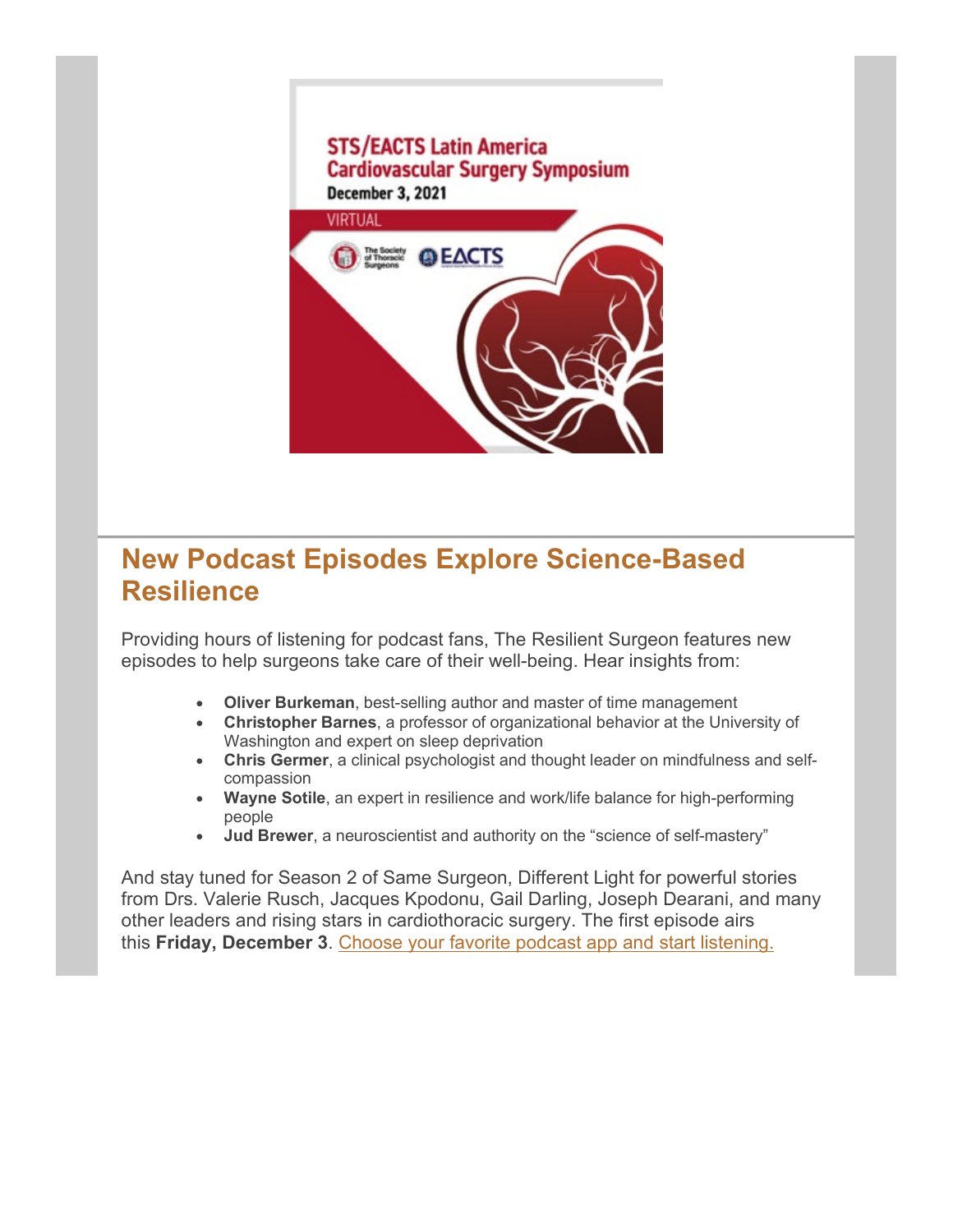# **STS/EACTS Latin America Cardiovascular Surgery Symposium December 3, 2021 VIRTUAL @EACTS** The Society<br>of Thoracic

#### **New Podcast Episodes Explore Science-Based Resilience**

Providing hours of listening for podcast fans, The Resilient Surgeon features new episodes to help surgeons take care of their well-being. Hear insights from:

- **Oliver Burkeman**, best-selling author and master of time management
- **Christopher Barnes**, a professor of organizational behavior at the University of Washington and expert on sleep deprivation
- **Chris Germer**, a clinical psychologist and thought leader on mindfulness and selfcompassion
- **Wayne Sotile**, an expert in resilience and work/life balance for high-performing people
- **Jud Brewer**, a neuroscientist and authority on the "science of self-mastery"

And stay tuned for Season 2 of Same Surgeon, Different Light for powerful stories from Drs. Valerie Rusch, Jacques Kpodonu, Gail Darling, Joseph Dearani, and many other leaders and rising stars in cardiothoracic surgery. The first episode airs this **Friday, December 3**. [Choose your favorite podcast app and start listening.](https://www.sts.org/publications/podcast-episodes)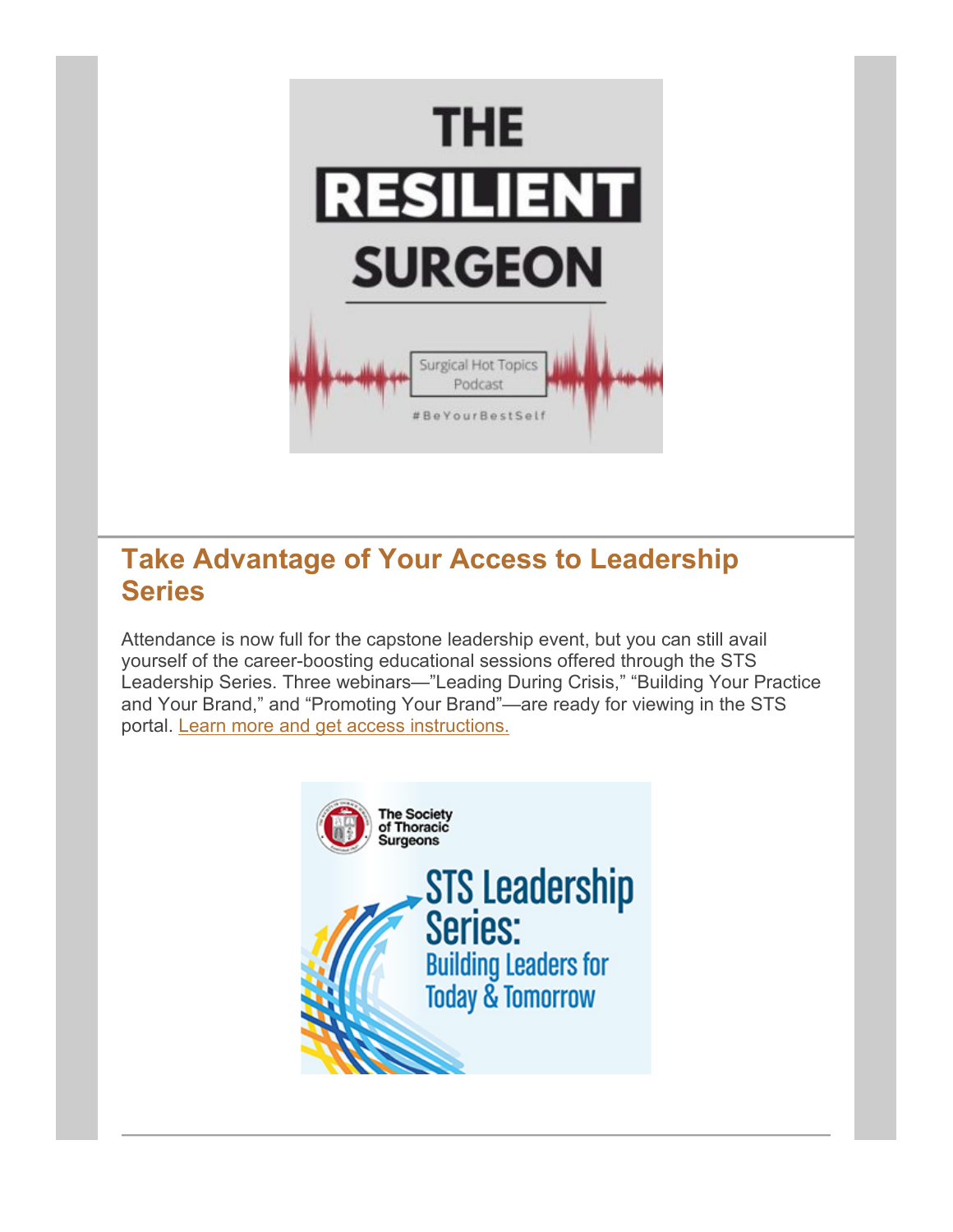

#### **Take Advantage of Your Access to Leadership Series**

Attendance is now full for the capstone leadership event, but you can still avail yourself of the career-boosting educational sessions offered through the STS Leadership Series. Three webinars—"Leading During Crisis," "Building Your Practice and Your Brand," and "Promoting Your Brand"—are ready for viewing in the STS portal. [Learn more and get access instructions.](https://www.sts.org/online-learning/sts-leadership-series-building-leaders-today-tomorrow)